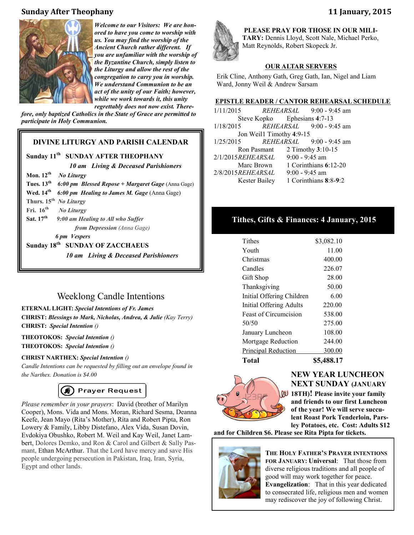# **Sunday After Theophany 11 January, 2015**



*Welcome to our Visitors: We are honored to have you come to worship with us. You may find the worship of the Ancient Church rather different. If you are unfamiliar with the worship of the Byzantine Church, simply listen to the Liturgy and allow the rest of the congregation to carry you in worship. We understand Communion to be an act of the unity of our Faith; however, while we work towards it, this unity regrettably does not now exist. There-*

*fore, only baptized Catholics in the State of Grace are permitted to participate in Holy Communion.*

# **DIVINE LITURGY AND PARISH CALENDAR**

### **Sunday 11th** **SUNDAY AFTER THEOPHANY**

 *10 am Living & Deceased Parishioners*  **Mon. 12th** *No Liturgy* **Tues. 13th** *6:00 pm Blessed Repose + Margaret Gage* (Anna Gage) **Wed. 14th** *6:00 pm Healing to James M. Gage* (Anna Gage) **Thurs. 15th** *No Liturgy* **Fri. 16th** *No Liturgy* **Sat. 17th** *9:00 am Healing to All who Suffer from Depression (Anna Gage)* *6 pm Vespers* **Sunday 18th** **SUNDAY OF ZACCHAEUS** *10 am Living & Deceased Parishioners* 

# Weeklong Candle Intentions

#### **ETERNAL LIGHT:** *Special Intentions of Fr. James*

**CHRIST:** *Blessings to Mark, Nicholas, Andrea, & Julie (Kay Terry)* **CHRIST:** *Special Intention ()*

### **THEOTOKOS:** *Special Intention ()* **THEOTOKOS:** *Special Intention ()*

#### **CHRIST NARTHEX:** *Special Intention ()*

*Candle Intentions can be requested by filling out an envelope found in the Narthex. Donation is \$4.00*

# (4) Prayer Request

*Please remember in your prayers*: David (brother of Marilyn Cooper), Mons. Vida and Mons. Moran, Richard Sesma, Deanna Keefe, Jean Mayo (Rita's Mother), Rita and Robert Pipta, Ron Lowery & Family, Libby Distefano, Alex Vida, Susan Dovin, Evdokiya Obushko, Robert M. Weil and Kay Weil, Janet Lambert, Dolores Demko, and Ron & Carol and Gilbert & Sally Pasmant, Ethan McArthur. That the Lord have mercy and save His people undergoing persecution in Pakistan, Iraq, Iran, Syria, Egypt and other lands.



**PLEASE PRAY FOR THOSE IN OUR MILI-TARY:** Dennis Lloyd, Scott Nale, Michael Perko, Matt Reynolds, Robert Skopeck Jr.

# **OUR ALTAR SERVERS**

Erik Cline, Anthony Gath, Greg Gath, Ian, Nigel and Liam Ward, Jonny Weil & Andrew Sarsam

#### **EPISTLE READER / CANTOR REHEARSAL SCHEDULE**

1/11/2015 *REHEARSAL* 9:00 - 9:45 am Steve Kopko Ephesians **4**:7-13 1/18/2015 *REHEARSAL* 9:00 - 9:45 am Jon Weil1 Timothy **4**:9-15 1/25/2015 *REHEARSAL* 9:00 - 9:45 am Ron Pasmant 2 Timothy **3**:10-15 2/1/2015*REHEARSAL* 9:00 - 9:45 am Marc Brown 1 Corinthians **6**:12-20 2/8/2015*REHEARSAL* 9:00 - 9:45 am Kester Bailey 1 Corinthians **8**:8-**9**:2

# **Tithes, Gifts & Finances: 4 January, 2015**

| Total                     | \$5,488.17 |
|---------------------------|------------|
| Principal Reduction       | 300.00     |
| Mortgage Reduction        | 244.00     |
| January Luncheon          | 108.00     |
| 50/50                     | 275.00     |
| Feast of Circumcision     | 538.00     |
| Initial Offering Adults   | 220.00     |
| Initial Offering Children | 6.00       |
| Thanksgiving              | 50.00      |
| Gift Shop                 | 28.00      |
| Candles                   | 226.07     |
| Christmas                 | 400.00     |
| Youth                     | 11.00      |
| Tithes                    | \$3,082.10 |



# **NEW YEAR LUNCHEON NEXT SUNDAY (JANUARY**

**18TH)! Please invite your family and friends to our first Luncheon of the year! We will serve succulent Roast Pork Tenderloin, Parsley Potatoes, etc. Cost: Adults \$12** 

**and for Children \$6. Please see Rita Pipta for tickets.**



**THE HOLY FATHER'S PRAYER INTENTIONS FOR JANUARY: Universal**: That those from diverse religious traditions and all people of good will may work together for peace. **Evangelization**: That in this year dedicated to consecrated life, religious men and women may rediscover the joy of following Christ.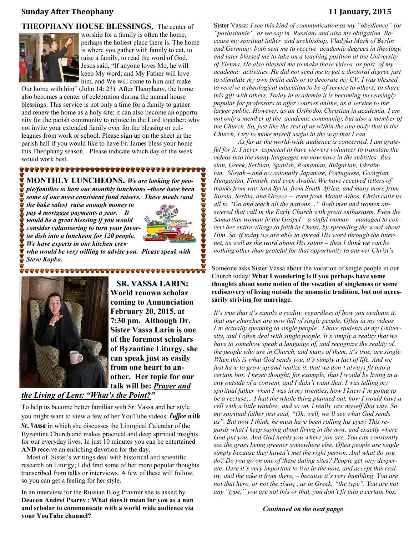# **Sunday After Theophany 11 January, 2015**

#### **THEOPHANY HOUSE BLESSINGS.** The center of



worship for a family is often the home, perhaps the holiest place there is. The home is where you gather with family to eat, to raise a family, to read the word of God. Jesus said, "If anyone loves Me, he will keep My word; and My Father will love him, and We will come to him and make

Our home with him" (John 14: 23). After Theophany, the home also becomes a center of celebration during the annual house blessings. This service is not only a time for a family to gather and renew the home as a holy site; it can also become an opportunity for the parish community to rejoice in the Lord together: why not invite your extended family over for the blessing or colleagues from work or school. Please sign up on the sheet in the parish hall if you would like to have Fr. James bless your home this Theophany season. Please indicate which day of the week would work best.

**MONTHLY LUNCHEONS.** *We are looking for people/families to host our monthly luncheons –these have been some of our most consistent fund raisers. These meals (and* 

*the bake sales) raise enough money to pay 4 mortgage payments a year. It would be a great blessing if you would consider volunteering to turn your favorite dish into a luncheon for 120 people. We have experts in our kitchen crew* 



*who would be very willing to advise you. Please speak with Steve Kopko.* 

<del>`QQQQQQQQQQQQQQQQQQQQQQQQQ</del>Q@@



 **SR. VASSA LARIN: World renown scholar coming to Annunciation February 20, 2015, at 7:30 pm. Although Dr. Sister Vassa Larin is one of the foremost scholars of Byzantine Liturgy, she can speak just as easily from one heart to another. Her topic for our talk will be:** *Prayer and* 

# *the Living of Lent: "What's the Point?"*

To help us become better familiar with Sr. Vassa and her style you might want to view a few of her YouTube videos: *Coffee with* 

*Sr. Vassa* in which she discusses the Liturgical Calendar of the Byzantine Church and makes practical and deep spiritual insights for our everyday lives. In just 10 minutes you can be entertained **AND** receive an enriching devotion for the day.

 Most of Sister's writings deal with historical and scientific research on Liturgy; I did find some of her more popular thoughts transcribed from talks or interviews. A few of these will follow, so you can get a feeling for her style.

In an interview for the Russian Blog Pravmir she is asked by **Deacon Andrei Psarev : What does it mean for you as a nun and scholar to communicate with a world wide audience via your YouTube channel?**

Sister Vassa: *I see this kind of communication as my "obedience" (or "poslushanie", as we say in Russian) and also my obligation. Because my spiritual father and archbishop, Vladyka Mark of Berlin and Germany, both sent me to receive academic degrees in theology, and later blessed me to take on a teaching position at the University of Vienna. He also blessed me to make these videos, as part of my academic activities. He did not send me to get [a doctoral degree j](http://www.pravmir.com/sister-vassa-larin-also-experienced-together-church-unique-changes-underwent/)ust to stimulate my own brain cells or to decorate my CV. I was blessed to receive a theological education to be of service to others; to share this gift with others. Today in academia it is becoming increasingly popular for professors to offer [courses online,](http://www.pravmir.com/sister-vassa-larin-also-experienced-together-church-unique-changes-underwent/) as a service to the larger public. However, as an Orthodox Christian in academia, I am not only a member of the academic community, but also a member of the Church. So, just like the rest of us within the one body that is the Church, I try to make myself useful in the way that I can.*

*As far as the world-wide audience is concerned, I am grateful for it. I never expected to have viewers volunteer to translate the videos into the many languages we now have in the subtitles: Russian, Greek, Serbian, Spanish, Romanian, Bulgarian, Ukrainian, Slovak – and occasionally Japanese, Portuguese, Georgian, Hungarian, Finnish, and even Arabic. We have received letters of thanks from war-torn Syria, from South Africa, and many more from Russia, Serbia, and Greece – even from Mount Athos. Christ calls us all to "Go and teach all the nations…" Both men and women answered that call in the Early Church with great enthusiasm. Even the*  Samaritan woman in the Gospel – a sinful woman – managed to con*vert her entire village to faith in Christ, by spreading the word about Him. So, if today we are able to spread His word through the internet, as well as the word about His saints – then I think we can be nothing other than grateful for that opportunity to answer Christ's* 

Someone asks Sister Vassa about the vocation of single people in our Church today: **What I wondering is if you perhaps have some thoughts about some notion of the vocation of singleness or some rediscovery of living outside the monastic tradition, but not necessarily striving for marriage.**

*It's true that it's simply a reality, regardless of how you evaluate it, that our churches are now full of single people. Often in my videos I'm actually speaking to single people. I have students at my University, and I often deal with single people. It's simply a reality that we have to somehow speak a language of, and recognize the reality of, the people who are in Church, and many of them, it's true, are single. When this is what God sends you, it's simply a fact of life. And we just have to grow up and realize it, that we don't always fit into a certain box. I never thought, for example, that I would be living in a city outside of a convent, and I didn't want that. I was telling my spiritual father when I was in my twenties, how I knew I'm going to be a recluse… I had the whole thing planned out, how I would have a cell with a little window, and so on. I really saw myself that way. So my spiritual father just said, "Oh, well, we'll see what God sends us". But now I think, he must have been rolling his eyes! This regards what I keep saying about living in the now, and exactly where God put you. And God needs you where you are. You can constantly see the grass being greener somewhere else. Often people are single simply because they haven't met the right person. And what do you do? Do you go on one of these dating sites? People get very desperate. Here it's very important to live in the now, and accept this reality, and the take it from there, – because it's very humbling. You are not that hero, or not the τύπος , as in Greek, "the type". You are not any "type," you are not this or that, you don't fit into a certain box.* 

*Continued on the next papge*